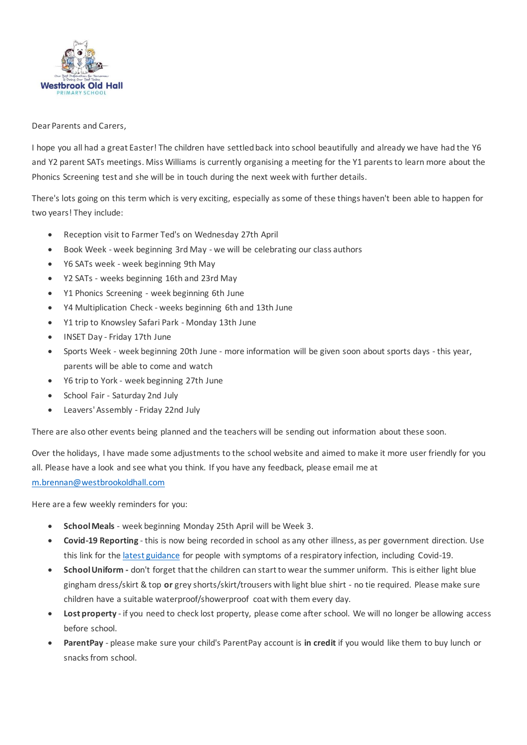

Dear Parents and Carers,

I hope you all had a great Easter! The children have settled back into school beautifully and already we have had the Y6 and Y2 parent SATs meetings. Miss Williams is currently organising a meeting for the Y1 parents to learn more about the Phonics Screening test and she will be in touch during the next week with further details.

There's lots going on this term which is very exciting, especially as some of these things haven't been able to happen for two years! They include:

- Reception visit to Farmer Ted's on Wednesday 27th April
- Book Week week beginning 3rd May we will be celebrating our class authors
- Y6 SATs week week beginning 9th May
- Y2 SATs weeks beginning 16th and 23rd May
- Y1 Phonics Screening week beginning 6th June
- Y4 Multiplication Check weeks beginning 6th and 13th June
- Y1 trip to Knowsley Safari Park Monday 13th June
- INSET Day Friday 17th June
- Sports Week week beginning 20th June more information will be given soon about sports days this year, parents will be able to come and watch
- Y6 trip to York week beginning 27th June
- School Fair Saturday 2nd July
- Leavers' Assembly Friday 22nd July

There are also other events being planned and the teachers will be sending out information about these soon.

Over the holidays, I have made some adjustments to the school website and aimed to make it more user friendly for you all. Please have a look and see what you think. If you have any feedback, please email me at m.brennan@westbrookoldhall.com

Here are a few weekly reminders for you:

- **School Meals** week beginning Monday 25th April will be Week 3.
- **Covid-19 Reporting** this is now being recorded in school as any other illness, as per government direction. Use this link for the latest guidance for people with symptoms of a respiratory infection, including Covid-19.
- **School Uniform -** don't forget that the children can start to wear the summer uniform. This is either light blue gingham dress/skirt & top **or** grey shorts/skirt/trousers with light blue shirt - no tie required. Please make sure children have a suitable waterproof/showerproof coat with them every day.
- **Lost property** if you need to check lost property, please come after school. We will no longer be allowing access before school.
- **ParentPay** please make sure your child's ParentPay account is **in credit** if you would like them to buy lunch or snacks from school.